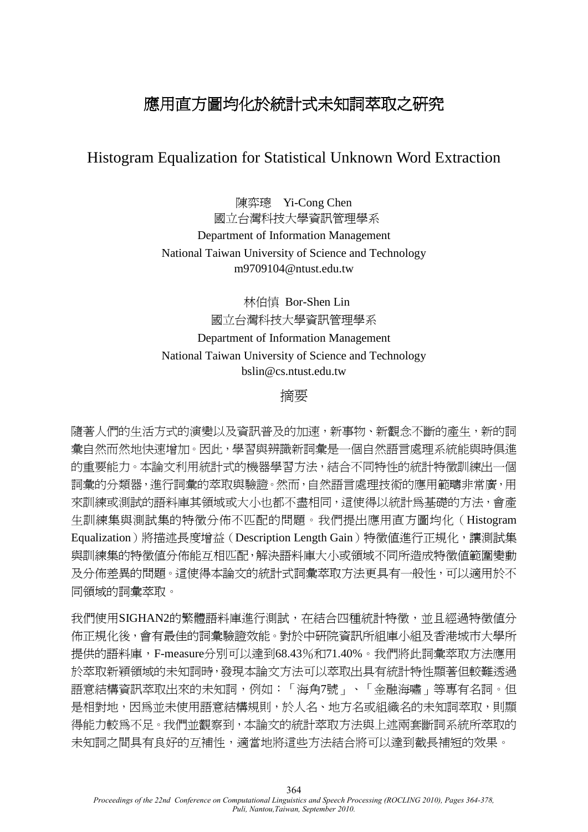# 應用直方圖均化於統計式未知詞萃取之研究

# Histogram Equalization for Statistical Unknown Word Extraction

陳弈璁 Yi-Cong Chen 國立台灣科技大學資訊管理學系 Department of Information Management National Taiwan University of Science and Technology m9709104@ntust.edu.tw

林伯慎 Bor-Shen Lin 國立台灣科技大學資訊管理學系 Department of Information Management National Taiwan University of Science and Technology bslin@cs.ntust.edu.tw

# 摘要

隨著人們的生活方式的演變以及資訊普及的加速,新事物、新觀念不斷的產生,新的詞 彙自然而然地快速增加。因此,學習與辨識新詞彙是一個自然語言處理系統能與時俱進 的重要能力。本論文利用統計式的機器學習方法,結合不同特性的統計特徵訓練出一個 詞彙的分類器,進行詞彙的萃取與驗證。然而,自然語言處理技術的應用範疇非常廣,用 來訓練或測試的語料庫其領域或大小也都不盡相同,這使得以統計為基礎的方法,會產 生訓練集與測詴集的特徵分佈不匹配的問題。我們提出應用直方圖均化(Histogram Equalization)將描述長度增益(Description Length Gain)特徵值進行正規化,讓測試集 與訓練集的特徵值分佈能互相匹配,解決語料庫大小或領域不同所造成特徵值範圍變動 及分佈差異的問題。這使得本論文的統計式詞彙萃取方法更具有一般性,可以適用於不 同領域的詞彙萃取。

我們使用SIGHAN2的繁體語料庫進行測詴,在結合四種統計特徵,並且經過特徵值分 佈正規化後,會有最佳的詞彙驗證效能。對於中研院資訊所組庫小組及香港城市大學所 提供的語料庫,F-measure分別可以達到68.43%和71.40%。我們將此詞彙萃取方法應用 於萃取新穎領域的未知詞時,發現本論文方法可以萃取出具有統計特性顯著但較難透過 語意結構資訊萃取出來的未知詞,例如:「海角7號」、「金融海嘯」等專有名詞。但 是相對地,因為並未使用語意結構規則,於人名、地方名或組織名的未知詞萃取,則顯 得能力較為不足。我們並觀察到,本論文的統計萃取方法與上述兩套斷詞系統所萃取的 未知詞之間具有良好的互補性,適當地將這些方法結合將可以達到截長補短的效果。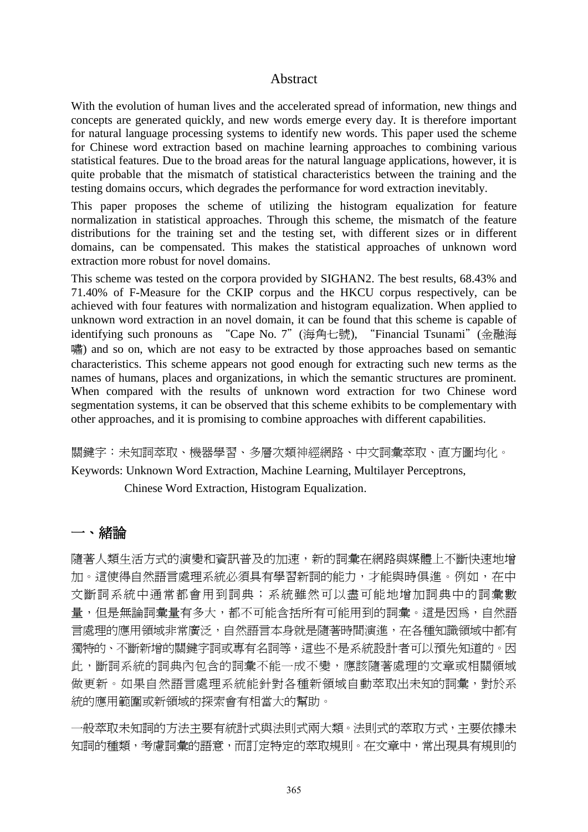#### Abstract

With the evolution of human lives and the accelerated spread of information, new things and concepts are generated quickly, and new words emerge every day. It is therefore important for natural language processing systems to identify new words. This paper used the scheme for Chinese word extraction based on machine learning approaches to combining various statistical features. Due to the broad areas for the natural language applications, however, it is quite probable that the mismatch of statistical characteristics between the training and the testing domains occurs, which degrades the performance for word extraction inevitably.

This paper proposes the scheme of utilizing the histogram equalization for feature normalization in statistical approaches. Through this scheme, the mismatch of the feature distributions for the training set and the testing set, with different sizes or in different domains, can be compensated. This makes the statistical approaches of unknown word extraction more robust for novel domains.

This scheme was tested on the corpora provided by SIGHAN2. The best results, 68.43% and 71.40% of F-Measure for the CKIP corpus and the HKCU corpus respectively, can be achieved with four features with normalization and histogram equalization. When applied to unknown word extraction in an novel domain, it can be found that this scheme is capable of identifying such pronouns as "Cape No. 7"(海角七號), "Financial Tsunami"(金融海 嘯) and so on, which are not easy to be extracted by those approaches based on semantic characteristics. This scheme appears not good enough for extracting such new terms as the names of humans, places and organizations, in which the semantic structures are prominent. When compared with the results of unknown word extraction for two Chinese word segmentation systems, it can be observed that this scheme exhibits to be complementary with other approaches, and it is promising to combine approaches with different capabilities.

關鍵字:未知詞萃取、機器學習、多層次類神經網路、中文詞彙萃取、直方圖均化。 Keywords: Unknown Word Extraction, Machine Learning, Multilayer Perceptrons,

Chinese Word Extraction, Histogram Equalization.

# 一、緒論

隨著人類生活方式的演變和資訊普及的加速,新的詞彙在網路與媒體上不斷快速地增 加。這使得自然語言處理系統必須具有學習新詞的能力,才能與時俱進。例如,在中 文斷詞系統中通常都會用到詞典;系統雖然可以盡可能地增加詞典中的詞彙數 量,但是無論詞彙量有多大,都不可能含括所有可能用到的詞彙。這是因為,自然語 言處理的應用領域非常廣泛,自然語言本身就是隨著時間演進,在各種知識領域中都有 獨特的、不斷新增的關鍵字詞或專有名詞等,這些不是系統設計者可以預先知道的。因 此,斷詞系統的詞典內包含的詞彙不能一成不變,應該隨著處理的文章或相關領域 做更新。如果自然語言處理系統能針對各種新領域自動萃取出未知的詞彙,對於系 統的應用範圍或新領域的探索會有相當大的幫助。

一般萃取未知詞的方法主要有統計式與法則式兩大類。法則式的萃取方式,主要依據未 知詞的種類,考慮詞彙的語意,而訂定特定的萃取規則。在文章中,常出現具有規則的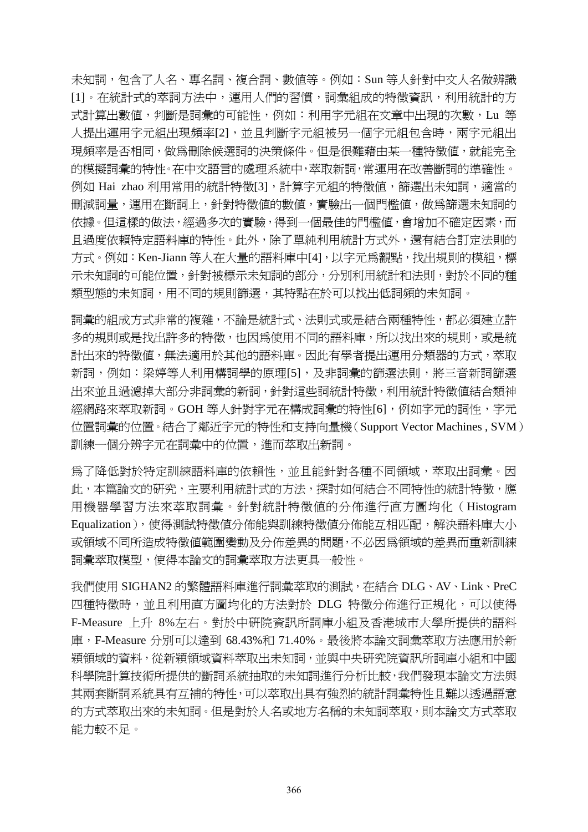未知詞, 包含了人名、專名詞、複合詞、數值等。例如: Sun 等人針對中文人名做辨識 [1]。在統計式的萃詞方法中,運用人們的習慣,詞彙組成的特徵資訊,利用統計的方 式計算出數值,判斷是詞彙的可能性,例如:利用字元組在文章中出現的次數,Lu 等 人提出運用字元組出現頻率[2],並且判斷字元組被另一個字元組包含時,兩字元組出 現頻率是否相同,做為刪除候選詞的決策條件。但是很難藉由某一種特徵值,就能完全 的模擬詞彙的特性。在中文語言的處理系統中,萃取新詞,常運用在改善斷詞的準確性。 例如 Hai zhao 利用常用的統計特徵[3],計算字元組的特徵值,篩選出未知詞,適當的 刪減詞量,運用在斷詞上,針對特徵值的數值,實驗出一個門檻值,做為篩選未知詞的 依據。但這樣的做法,經過多次的實驗,得到一個最佳的門檻值,會增加不確定因素,而 且過度依賴特定語料庫的特性。此外,除了單純利用統計方式外,還有結合訂定法則的 方式。例如:Ken-Jiann 等人在大量的語料庫中[4],以字元為觀點,找出規則的模組,標 示未知詞的可能位置, 針對被標示未知詞的部分, 分別利用統計和法則, 對於不同的種 類型態的未知詞,用不同的規則篩選,其特點在於可以找出低詞頻的未知詞。

詞彙的組成方式非常的複雜,不論是統計式、法則式或是結合兩種特性,都必須建立許 多的規則或是找出許多的特徵,也因為使用不同的語料庫,所以找出來的規則,或是統 計出來的特徵值,無法適用於其他的語料庫。因此有學者提出運用分類器的方式,萃取 新詞,例如:梁婷等人利用構詞學的原理[5],及非詞彙的篩選法則,將三音新詞篩選 出來並且過濾掉大部分非詞彙的新詞,針對這些詞統計特徵,利用統計特徵值結合類神 經網路來萃取新詞。GOH 等人針對字元在構成詞彙的特性[6], 例如字元的詞性, 字元 位置詞彙的位置。結合了鄰近字元的特性和支持向量機(Support Vector Machines , SVM) 訓練一個分辨字元在詞彙中的位置,進而萃取出新詞。

為了降低對於特定訓練語料庫的依賴性,並且能針對各種不同領域,萃取出詞彙。因 此,本篇論文的研究,主要利用統計式的方法,探討如何結合不同特性的統計特徵,應 用機器學習方法來萃取詞彙。針對統計特徵值的分佈進行直方圖均化(Histogram Equalization), 使得測試特徵值分佈能與訓練特徵值分佈能互相匹配, 解決語料庫大小 或領域不同所造成特徵值範圍變動及分佈差異的問題,不必因為領域的差異而重新訓練 詞彙萃取模型,使得本論文的詞彙萃取方法更具一般性。

我們使用 SIGHAN2 的繁體語料庫進行詞彙萃取的測試,在結合 DLG、AV、Link、PreC 四種特徵時,並且利用直方圖均化的方法對於 DLG 特徵分佈進行正規化,可以使得 F-Measure 上升 8%左右。對於中研院資訊所詞庫小組及香港城市大學所提供的語料 庫,F-Measure 分別可以達到 68.43%和 71.40%。最後將本論文詞彙萃取方法應用於新 穎領域的資料,從新穎領域資料萃取出未知詞,並與中央研究院資訊所詞庫小組和中國 科學院計算技術所提供的斷詞系統抽取的未知詞進行分析比較,我們發現本論文方法與 其兩套斷詞系統具有互補的特性,可以萃取出具有強烈的統計詞彙特性且難以透過語意 的方式萃取出來的未知詞。但是對於人名或地方名稱的未知詞萃取,則本論文方式萃取 能力較不足。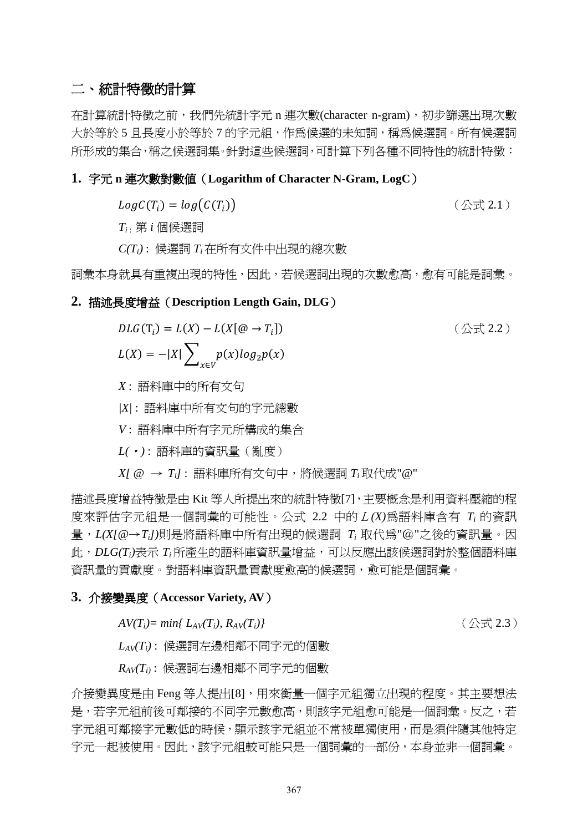# 二、統計特徵的計算

在計算統計特徵之前,我們先統計字元 n 連次數(character n-gram),初步篩選出現次數 大於等於 5 且長度小於等於 7 的字元組,作為候選的未知詞,稱為候選詞。所有候選詞 所形成的集合,稱之候選詞集。針對這些候選詞,可計算下列各種不同特性的統計特徵:

### **1.** 字元 **n** 連次數對數值(**Logarithm of Character N-Gram, LogC**)

 $LogC(T_i)$ 

(公式 2.1)

*T<sup>i</sup>* : 第 *i* 個候選詞

*C(Ti)* : 候選詞 *T<sup>i</sup>* 在所有文件中出現的總次數

詞彙本身就具有重複出現的特性,因此,若候選詞出現的次數愈高,愈有可能是詞彙。

## **2.** 描述長度增益(**Description Length Gain, DLG**)

$$
DLG(T_i) = L(X) - L(X[\mathcal{Q} \to T_i])
$$
  
\n
$$
L(X) = -|X| \sum_{x \in V} p(x) \log_2 p(x)
$$
 (  $\triangle \pm 2.2$ )

*X* : 語料庫中的所有文句

*|X|* : 語料庫中所有文句的字元總數

*V* : 語料庫中所有字元所構成的集合

*L(*〄*)* : 語料庫的資訊量(亂度)

*X[ @* <sup>→</sup> *Ti]* : 語料庫所有文句中,將候選詞 *T<sup>i</sup>* 取代成"@"

描述長度增益特徵是由 Kit 等人所提出來的統計特徵[7],主要概念是利用資料壓縮的程 度來評估字元組是一個詞彙的可能性。公式 2.2 中的L*(X)*為語料庫含有 *T<sup>i</sup>* 的資訊 量,*L(X[@*→*Ti])*則是將語料庫中所有出現的候選詞 *T<sup>i</sup>* 取代為"@"之後的資訊量。因 此,*DLG(Ti)*表示 *T<sup>i</sup>* 所產生的語料庫資訊量增益,可以反應出該候選詞對於整個語料庫 資訊量的貢獻度。對語料庫資訊量貢獻度愈高的候選詞,愈可能是個詞彙。

#### **3.** 介接變異度(**Accessor Variety, AV**)

$$
AV(T_i) = min\{L_{AV}(T_i), R_{AV}(T_i)\}
$$

*AV(Ti)= min{ LAV(Ti), RAV(Ti)}* (公式 2.3)

*LAV(Ti)* : 候選詞左邊相鄰不同字元的個數

*RAV(Ti)* : 候選詞右邊相鄰不同字元的個數

介接變異度是由 Feng 等人提出[8],用來衡量一個字元組獨立出現的程度。其主要想法 是,若字元組前後可鄰接的不同字元數愈高,則該字元組愈可能是一個詞彙。反之,若 字元組可鄰接字元數低的時候,顯示該字元組並不常被單獨使用,而是須伴隨其他特定 字元一起被使用。因此,該字元組較可能只是一個詞彙的一部份,本身並非一個詞彙。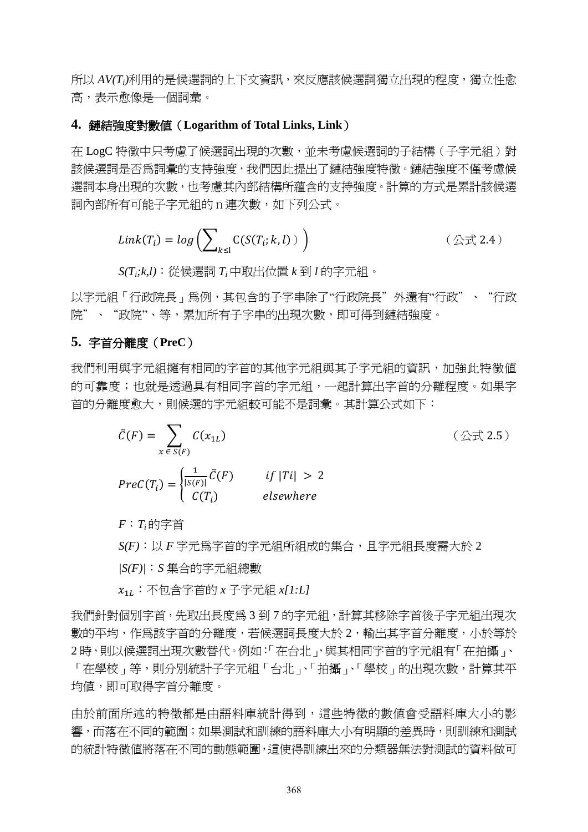所以 *AV(Ti)*利用的是候選詞的上下文資訊,來反應該候選詞獨立出現的程度,獨立性愈 高,表示愈像是一個詞彙。

## **4.** 鏈結強度對數值(**Logarithm of Total Links, Link**)

在 LogC 特徵中只考慮了候選詞出現的次數,並未考慮候選詞的子結構(子字元組)對 該候選詞是否為詞彙的支持強度,我們因此提出了鏈結強度特徵。鏈結強度不僅考慮候 選詞本身出現的次數,也考慮其內部結構所蘊含的支持強度。計算的方式是累計該候選 詞內部所有可能子字元組的n連次數,如下列公式。

$$
Link(T_i) = log\left(\sum_{k \leq 1} C(S(T_i; k, l))\right) \qquad (\triangle \vec{\pm} \text{ 2.4})
$$

*S(Ti;k,l)*〆從候選詞 *T<sup>i</sup>* 中取出位置 *k* 到 *l* 的字元組。

以字元組「行政院長」為例,其包含的子字串除了"行政院長"外還有"行政"、"行政 院"、"政院"、等,累加所有子字串的出現次數,即可得到鏈結強度。

## **5.** 字首分離度(**PreC**)

我們利用與字元組擁有相同的字首的其他字元組與其子字元組的資訊,加強此特徵值 的可靠度;也就是透過具有相同字首的字元組,一起計算出字首的分離程度。如果字 首的分離度愈大,則候選的字元組較可能不是詞彙。其計算公式如下:

$$
\bar{C}(F) = \sum_{x \in S(F)} C(x_{1L})
$$
\n
$$
Prec(T_i) = \begin{cases}\n\frac{1}{|S(F)|} \bar{C}(F) & if |T_i| > 2 \\
C(T_i) & elsewhere\n\end{cases}
$$
\n(  $\triangle \exists$  2.5)\n

 $F: T_i$ 的字首

 $S(F): \bigcup F$  字元為字首的字元組所組成的集合, 且字元組長度需大於 2

*|S(F)|*〆*S* 集合的字元組總數

 $x_{11}$  : 不句含字首的 *x* 子字元組 *x[1:L]* 

我們針對個別字首,先取出長度為 3 到 7 的字元組,計算其移除字首後子字元組出現次 數的平均,作為該字首的分離度,若候選詞長度大於 2,輸出其字首分離度,小於等於 2時,則以候選詞出現次數替代。例如:「在台北」,與其相同字首的字元組有「在拍攝」、 「在學校」等,則分別統計子字元組「台北」、「拍攝」、「學校」的出現次數,計算其平 均值,即可取得字首分離度。

由於前面所述的特徵都是由語料庫統計得到,這些特徵的數值會受語料庫大小的影 響,而落在不同的範圍;如果測試和訓練的語料庫大小有明顯的差異時,則訓練和測試 的統計特徵值將落在不同的動態範圍,這使得訓練出來的分類器無法對測試的資料做可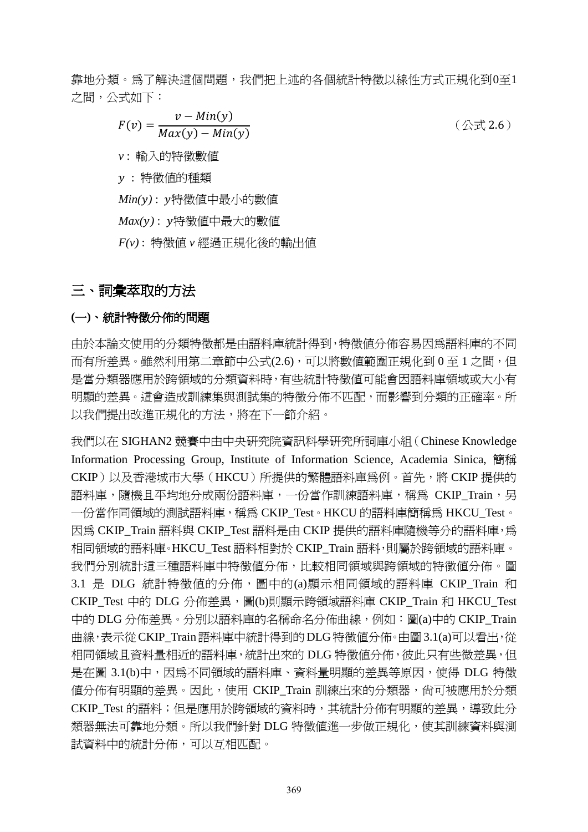靠地分類。為了解決這個問題,我們把上述的各個統計特徵以線性方式正規化到0至1 之間,公式如下:

$$
F(v) = \frac{v - Min(y)}{Max(y) - Min(y)}
$$

(公式 2.6)

*v* : 輸入的特徵數值

: 特徵值的種類

*Min( )* : 特徵值中最小的數值

*Max( )* : 特徵值中最大的數值

*F(v)* : 特徵值 *v* 經過正規化後的輸出值

# 三、詞彙萃取的方法

# **(**一**)**、統計特徵分佈的問題

由於本論文使用的分類特徵都是由語料庫統計得到,特徵值分佈容易因為語料庫的不同 而有所差異。雖然利用第二章節中公式(2.6),可以將數值範圍正規化到 0 至 1 之間,但 是當分類器應用於跨領域的分類資料時,有些統計特徵值可能會因語料庫領域或大小有 明顯的差異。這會造成訓練集與測詴集的特徵分佈不匹配,而影響到分類的正確率。所 以我們提出改進正規化的方法,將在下一節介紹。

我們以在 SIGHAN2 競賽中由中央研究院資訊科學研究所詞庫小組(Chinese Knowledge Information Processing Group, Institute of Information Science, Academia Sinica, 簡稱 CKIP)以及香港城市大學 (HKCU)所提供的繁體語料庫為例。首先,將 CKIP 提供的 語料庫,隨機且平均地分成兩份語料庫,一份當作訓練語料庫,稱為 CKIP Train,另  $-\oplus$ 當作同領域的測試語料庫,稱為 CKIP\_Test。HKCU 的語料庫簡稱為 HKCU\_Test。 因為 CKIP\_Train 語料與 CKIP\_Test 語料是由 CKIP 提供的語料庫隨機等分的語料庫,為 相同領域的語料庫。HKCU Test 語料相對於 CKIP Train 語料,則屬於跨領域的語料庫。 我們分別統計這三種語料庫中特徵值分佈,比較相同領域與跨領域的特徵值分佈。圖 3.1 是 DLG 統計特徵值的分佈,圖中的(a)顯示相同領域的語料庫 CKIP\_Train 和 CKIP Test 中的 DLG 分佈差異,圖(b)則顯示跨領域語料庫 CKIP Train 和 HKCU Test 中的 DLG 分佈差異。分別以語料庫的名稱命名分佈曲線,例如:圖(a)中的 CKIP Train 曲線,表示從CKIP\_Train 語料庫中統計得到的DLG特徵值分佈。由圖 3.1(a)可以看出,從 相同領域且資料量相近的語料庫,統計出來的 DLG 特徵值分佈,彼此只有些微差異,但 是在圖 3.1(b)中,因為不同領域的語料庫、資料量明顯的差異等原因,使得 DLG 特徵 值分佈有明顯的差異。因此,使用 CKIP\_Train 訓練出來的分類器,尚可被應用於分類 CKIP Test 的語料;但是應用於跨領域的資料時,其統計分佈有明顯的差異,導致此分 類器無法可靠地分類。所以我們針對 DLG 特徵值進一步做正規化,使其訓練資料與測 詴資料中的統計分佈,可以互相匹配。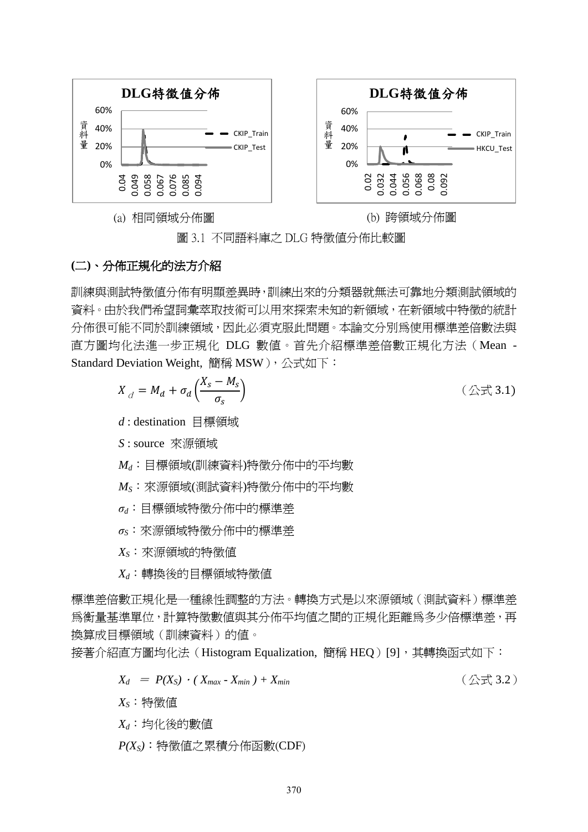

圖 3.1 不同語料庫之 DLG 特徵值分佈比較圖

# **(**二**)**、分佈正規化的法方介紹

訓練與測試特徵值分佈有明顯差異時,訓練出來的分類器就無法可靠地分類測試領域的 資料。由於我們希望詞彙萃取技術可以用來探索未知的新領域,在新領域中特徵的統計 分佈很可能不同於訓練領域,因此必須克服此問題。本論文分別為使用標準差倍數法與 直方圖均化法進一步正規化 DLG 數值。首先介紹標準差倍數正規化方法(Mean - Standard Deviation Weight, 簡稱 MSW), 公式如下:

$$
X_{d} = M_{d} + \sigma_{d} \left( \frac{X_{s} - M_{s}}{\sigma_{s}} \right) \tag{2.1}
$$

*d* : destination 目標領域

*S* : source 來源領域

 $M_d$ : 目標領域(訓練資料)特徵分佈中的平均數

*MS*〆來源領域(測詴資料)特徵分佈中的平均數

- $σ<sub>d</sub>$ : 目標領域特徵分佈中的標準差
- $σ$ <sub>S</sub>: 來源領域特徵分佈中的標準差

 $X_S$ : 來源領域的特徵值

 $X_d$ :轉換後的目標領域特徵值

標準差倍數正規化是一種線性調整的方法。轉換方式是以來源領域(測詴資料)標準差 為衡量基準單位,計算特徵數值與其分佈平均值之間的正規化距離為多少倍標準差,再 換算成目標領域(訓練資料)的值。

接著介紹直方圖均化法(Histogram Equalization, 簡稱 HEQ)[9], 其轉換函式如下:

$$
X_d = P(X_S) \cdot (X_{max} - X_{min}) + X_{min} \qquad (\triangle \vec{\pm} \cdot 3.2)
$$

 $X_S$ : 特徵值

 $X_d$ : 均化後的數值

*P(XS)*:特徵值之累積分佈函數(CDF)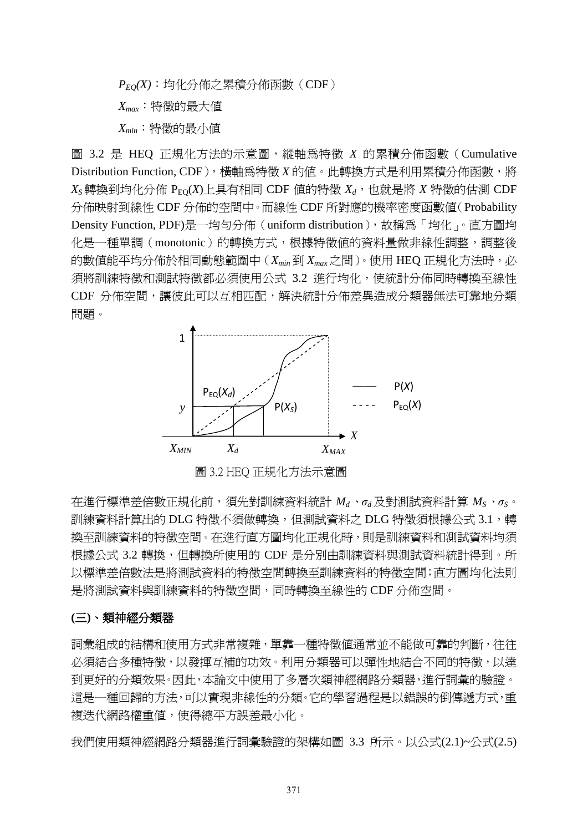$P_{EQ}(X)$ :均化分佈之累積分佈函數(CDF) *Xmax*〆特徵的最大值 *Xmin*〆特徵的最小值

圖 3.2 是 HEQ 正規化方法的示意圖,縱軸為特徵 *X* 的累積分佈函數(Cumulative Distribution Function, CDF), 橫軸為特徵 *X* 的值。此轉換方式是利用累積分佈函數,將  $X_S$ 轉換到均化分佈  $P_{EQ}(X)$ 上具有相同 CDF 值的特徵  $X_d$ , 也就是將  $X$  特徵的估測 CDF 分佈映射到線性 CDF 分佈的空間中。而線性 CDF 所對應的機率密度函數值(Probability Density Function, PDF)是一均勻分佈 (uniform distribution), 故稱爲「均化」。直方圖均 化是一種單調(monotonic)的轉換方式,根據特徵值的資料量做非線性調整,調整後 的數值能平均分佈於相同動態範圍中(*Xmin* 到 *Xmax* 之間)。使用 HEQ 正規化方法時,必 須將訓練特徵和測詴特徵都必須使用公式 3.2 進行均化,使統計分佈同時轉換至線性 CDF 分佈空間,讓彼此可以互相匹配,解決統計分佈差異造成分類器無法可靠地分類 問題。



圖 3.2 HEQ 正規化方法示意圖 *XS*

在進行標準差倍數正規化前,須先對訓練資料統計 *M<sup>d</sup>*、*σ<sup>d</sup>* 及對測詴資料計算 *M<sup>S</sup>*、*σS*。 訓練資料計算出的 DLG 特徵不須做轉換, 但測試資料之 DLG 特徵須根據公式 3.1, 轉 換至訓練資料的特徵空間。在進行直方圖均化正規化時,則是訓練資料和測詴資料均須 根據公式 3.2 轉換, 但轉換所使用的 CDF 是分別由訓練資料與測試資料統計得到。所 以標準差倍數法是將測試資料的特徵空間轉換至訓練資料的特徵空間;直方圖均化法則 是將測試資料與訓練資料的特徵空間,同時轉換至線性的 CDF 分佈空間。

#### **(**三**)**、類神經分類器

詞彙組成的結構和使用方式非常複雜,單靠一種特徵值通常並不能做可靠的判斷,往往 必須結合多種特徵,以發揮互補的功效。利用分類器可以彈性地結合不同的特徵,以達 到更好的分類效果。因此,本論文中使用了多層次類神經網路分類器,進行詞彙的驗證。 這是一種回歸的方法,可以實現非線性的分類。它的學習過程是以錯誤的倒傳遞方式,重 複迭代網路權重值,使得總平方誤差最小化。

我們使用類神經網路分類器進行詞彙驗證的架構如圖 3.3 所示。以公式(2.1)~公式(2.5)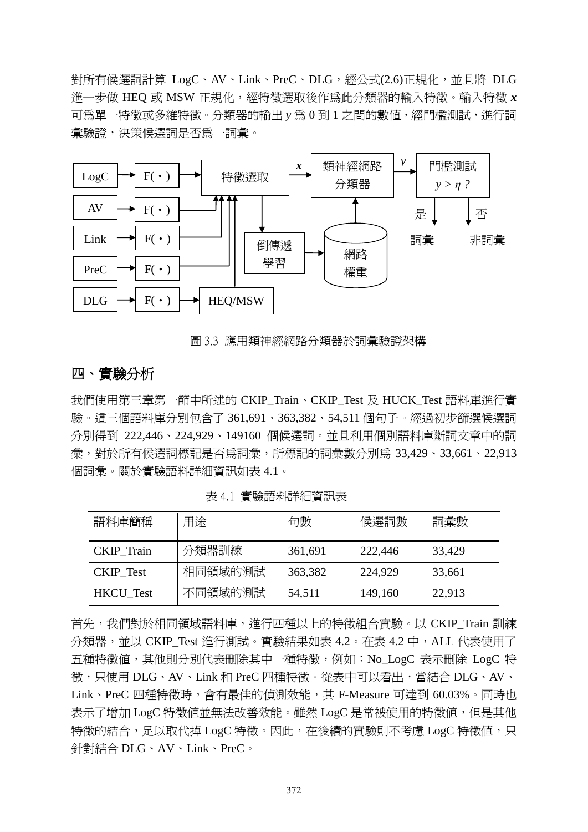對所有候選詞計算 LogC、AV、Link、PreC、DLG,經公式(2.6)正規化,並且將 DLG 進一步做 HEQ 或 MSW 正規化,經特徵選取後作為此分類器的輸入特徵。輸入特徵 *x* 可為單一特徵或多維特徵。分類器的輸出 y 為 0 到 1 之間的數值,經門檻測試, 淮行詞 彙驗證,決策候選詞是否為一詞彙。



圖 3.3 應用類神經網路分類器於詞彙驗證架構

# 四、實驗分析

我們使用第三章第一節中所述的 CKIP\_Train、CKIP\_Test 及 HUCK\_Test 語料庫進行實 驗。這三個語料庫分別包含了 361,691、363,382、54,511 個句子。經過初步篩選候選詞 分別得到 222,446、224,929、149160 個候選詞。並且利用個別語料庫斷詞文章中的詞 彙,對於所有候選詞標記是否為詞彙,所標記的詞彙數分別為 33,429、33,661、22,913 個詞彙。關於實驗語料詳細資訊如表 4.1。

| 語料庫簡稱            | 用途      | 句數      | 候選詞數    | 詞彙數    |
|------------------|---------|---------|---------|--------|
| CKIP Train       | 分類器訓練   | 361,691 | 222,446 | 33,429 |
| CKIP Test        | 相同領域的測試 | 363,382 | 224,929 | 33,661 |
| <b>HKCU</b> Test | 不同領域的測試 | 54,511  | 149,160 | 22,913 |

表 4.1 實驗語料詳細資訊表

首先,我們對於相同領域語料庫,淮行四種以上的特徵組合實驗。以 CKIP Train 訓練 分類器,並以 CKIP\_Test 進行測試。實驗結果如表 4.2。在表 4.2 中,ALL 代表使用了 五種特徵值,其他則分別代表刪除其中一種特徵,例如:No\_LogC 表示刪除 LogC 特 徵,只使用 DLG、AV、Link 和 PreC 四種特徵。從表中可以看出,當結合 DLG、AV、 Link、PreC 四種特徵時,會有最佳的偵測效能,其 F-Measure 可達到 60.03%。同時也 表示了增加 LogC 特徵值並無法改善效能。雖然 LogC 是常被使用的特徵值,但是其他 特徵的結合,足以取代掉 LogC 特徵。因此,在後續的實驗則不考慮 LogC 特徵值,只 針對結合 DLG、AV、Link、PreC。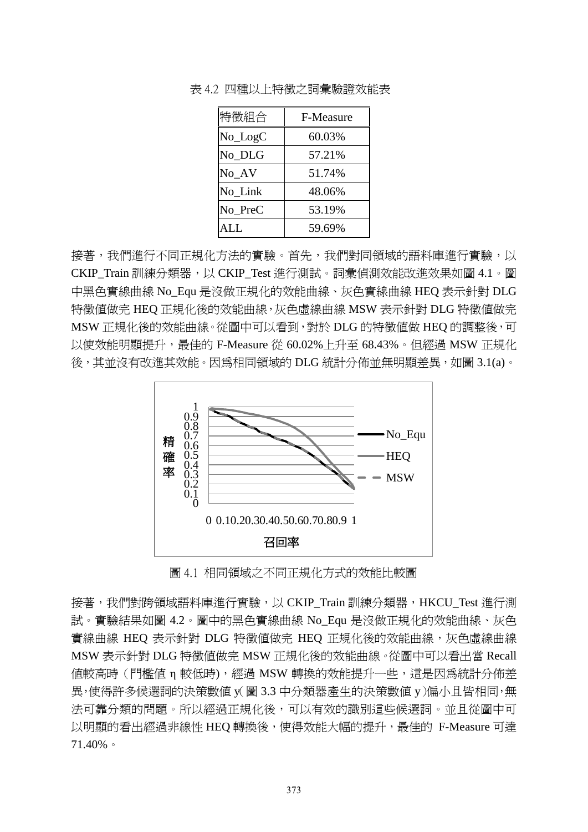| 特徵組合         | F-Measure |
|--------------|-----------|
| $No\_{LogC}$ | 60.03%    |
| No_DLG       | 57.21%    |
| No_AV        | 51.74%    |
| No_Link      | 48.06%    |
| No_PreC      | 53.19%    |
| ALL          | 59.69%    |

表 4.2 四種以上特徵之詞彙驗證效能表

接著,我們進行不同正規化方法的實驗。首先,我們對同領域的語料庫進行實驗,以 CKIP Train 訓練分類器,以 CKIP Test 進行測試。詞彙偵測效能改進效果如圖 4.1。圖 中黑色實線曲線 No Equ 是沒做正規化的效能曲線、灰色實線曲線 HEQ 表示針對 DLG 特徵值做完 HEQ 正規化後的效能曲線,灰色虛線曲線 MSW 表示針對 DLG 特徵值做完 MSW 正規化後的效能曲線。從圖中可以看到,對於 DLG 的特徵值做 HEQ 的調整後,可 以使效能明顯提升,最佳的 F-Measure 從 60.02%上升至 68.43%。但經過 MSW 正規化 後,其並沒有改進其效能。因為相同領域的 DLG 統計分佈並無明顯差異,如圖 3.1(a)。



圖 4.1 相同領域之不同正規化方式的效能比較圖

接著,我們對跨領域語料庫進行實驗,以 CKIP\_Train 訓練分類器,HKCU\_Test 進行測 詴。實驗結果如圖 4.2。圖中的黑色實線曲線 No\_Equ 是沒做正規化的效能曲線、灰色 實線曲線 HEQ 表示針對 DLG 特徵值做完 HEQ 正規化後的效能曲線,灰色虛線曲線 MSW 表示針對 DLG 特徵值做完 MSW 正規化後的效能曲線。從圖中可以看出當 Recall 值較高時 ( 門檻値 η 較低時),經過 MSW 轉換的效能提升一些,這是因為統計分佈差 異,使得許多候選詞的決策數値 y( 圖 3.3 中分類器產生的決策數値 y )偏小且皆相同,無 法可靠分類的問題。所以經過正規化後,可以有效的識別這些候選詞。並且從圖中可 以明顯的看出經過非線性 HEQ 轉換後,使得效能大幅的提升,最佳的 F-Measure 可達 71.40%。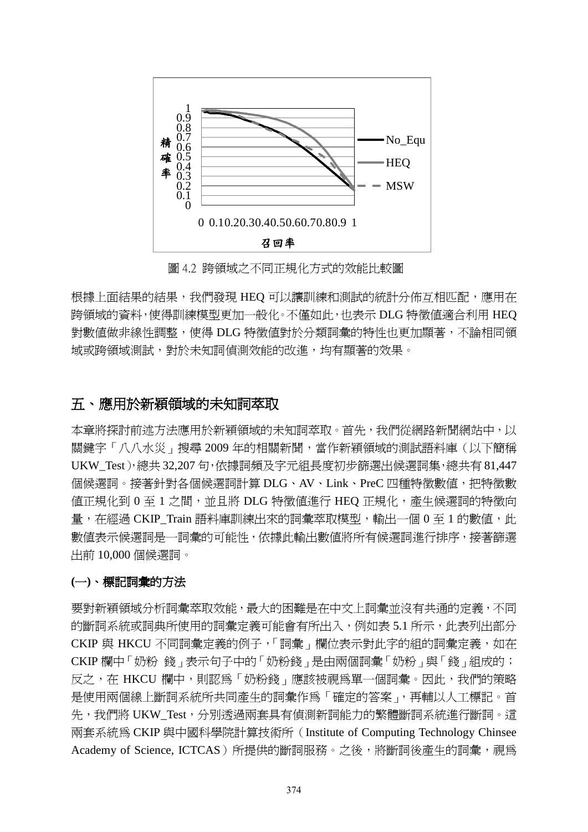

圖 4.2 跨領域之不同正規化方式的效能比較圖

根據上面結果的結果,我們發現 HEQ 可以讓訓練和測試的統計分佈互相匹配,應用在 跨領域的資料,使得訓練模型更加一般化。不僅如此,也表示 DLG 特徵值適合利用 HEQ 對數值做非線性調整,使得 DLG 特徵值對於分類詞彙的特性也更加顯著,不論相同領 域或跨領域測詴,對於未知詞偵測效能的改進,均有顯著的效果。

# 五、應用於新穎領域的未知詞萃取

本章將探討前述方法應用於新穎領域的未知詞萃取。首先,我們從網路新聞網站中,以 關鍵字「八八水災」搜尋 2009 年的相關新聞,當作新穎領域的測試語料庫(以下簡稱 UKW\_Test),總共 32,207 句,依據詞頻及字元組長度初步篩選出候選詞集,總共有 81,447 個候選詞。接著針對各個候選詞計算 DLG、AV、Link、PreC 四種特徵數值,把特徵數 値正規化到 0 至 1 之間,並且將 DLG 特徵値進行 HEQ 正規化,產生候選詞的特徵向 量,在經過 CKIP\_Train 語料庫訓練出來的詞彙萃取模型,輸出一個 0 至 1 的數值,此 數值表示候選詞是一詞彙的可能性,依據此輸出數值將所有候選詞進行排序,接著篩選 出前 10,000 個候選詞。

#### **(**一**)**、標記詞彙的方法

要對新穎領域分析詞彙萃取效能,最大的困難是在中文上詞彙並沒有共通的定義,不同 的斷詞系統或詞典所使用的詞彙定義可能會有所出入,例如表 5.1 所示,此表列出部分 CKIP 與 HKCU 不同詞彙定義的例子,「詞彙」欄位表示對此字的組的詞彙定義,如在 CKIP 欄中「奶粉 錢」表示句子中的「奶粉錢」是由兩個詞彙「奶粉」與「錢」組成的; 反之,在 HKCU 欄中,則認爲「奶粉錢」應該被視爲單一個詞彙。因此,我們的策略 是使用兩個線上斷詞系統所共同產生的詞彙作為「確定的答案」,再輔以人工標記。首 先,我們將 UKW\_Test,分別透過兩套具有偵測新詞能力的繁體斷詞系統進行斷詞。這 兩套系統為 CKIP 與中國科學院計算技術所(Institute of Computing Technology Chinsee Academy of Science, ICTCAS)所提供的斷詞服務。之後,將斷詞後產生的詞彙,視為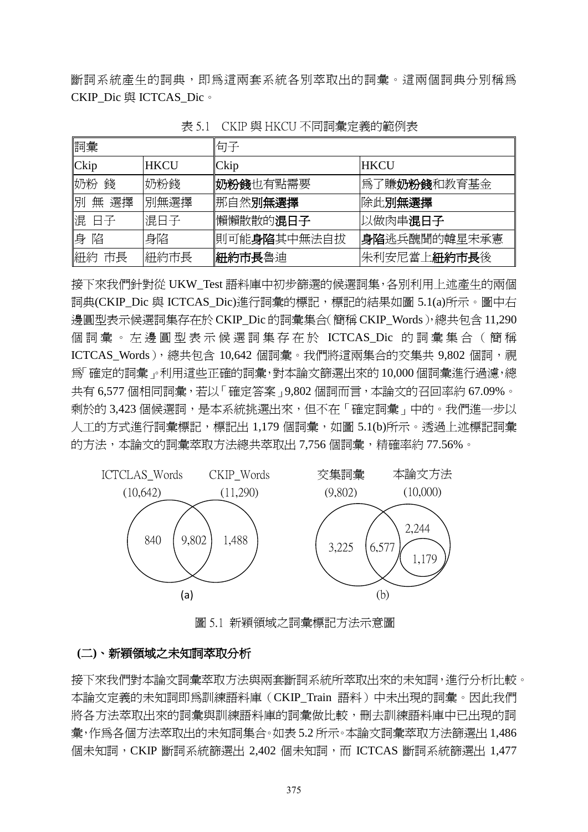斷詞系統產生的詞典,即為這兩套系統各別萃取出的詞彙。這兩個詞典分別稱為 CKIP\_Dic 與 ICTCAS\_Dic。

| 詞彙        |             | 「句子                  |                      |  |
|-----------|-------------|----------------------|----------------------|--|
| $ $ Ckip  | <b>HKCU</b> | <b>Ckip</b>          | <b>HKCU</b>          |  |
| 奶粉<br>錢   | 奶粉錢         | 奶粉錢也有點需要             | 爲了賺 <b>奶粉錢</b> 和教育基金 |  |
| 閉<br>無 選擇 | 別無選擇        | 那自然別無選擇              | 除此別無選擇               |  |
| 混 日子      | 混日子         | 懶懶散散的混日子             | 以做肉串混日子              |  |
| 身<br>陷    | 身陷          | 則可能 <b>身陷</b> 其中無法自拔 | 身陷逃兵醜聞的韓星宋承憲         |  |
| 紐約<br>市長  | 紐約市長        | 紐約市長魯迪               | 朱利安尼當上 <b>紐約市長</b> 後 |  |

表 5.1 CKIP 與 HKCU 不同詞彙定義的節例表

接下來我們針對從 UKW\_Test 語料庫中初步篩選的候選詞集,各別利用上述產生的兩個 詞典(CKIP Dic 與 ICTCAS Dic)淮行詞彙的標記,標記的結果如圖 5.1(a)所示。圖中右 邊圓型表示候選詞集存在於 CKIP\_Dic 的詞彙集合(簡稱 CKIP\_Words),總共包含 11,290 個詞彙。左邊圓型表示候選詞集存在於 ICTCAS Dic 的詞彙集合(簡稱 ICTCAS\_Words), 總共包含 10,642 個詞彙。我們將這兩集合的交集共 9,802 個詞,視 為「確定的詞彙」。利用這些正確的詞彙,對本論文篩選出來的 10,000 個詞彙進行過濾,總 共有 6,577 個相同詞彙,若以「確定答案」9,802 個詞而言,本論文的召回率約 67.09%。 剩於的 3,423個候選詞,是本系統挑選出來,但不在「確定詞彙」中的。我們進一步以 人工的方式進行詞彙標記,標記出 1,179 個詞彙,如圖 5.1(b)所示。透過上述標記詞彙 的方法,本論文的詞彙萃取方法總共萃取出 7,756 個詞彙,精確率約 77.56%。



圖 5.1 新穎領域之詞彙標記方法示意圖

#### **(**二**)**、新穎領域之未知詞萃取分析

接下來我們對本論文詞彙萃取方法與兩套斷詞系統所萃取出來的未知詞,進行分析比較。 本論文定義的未知詞即為訓練語料庫(CKIP\_Train 語料)中未出現的詞彙。因此我們 將各方法萃取出來的詞彙與訓練語料庫的詞彙做比較,刪去訓練語料庫中已出現的詞 彙,作為各個方法萃取出的未知詞集合。如表 5.2 所示。本論文詞彙萃取方法篩選出 1,486 個未知詞, CKIP 斷詞系統篩選出 2,402 個未知詞, 而 ICTCAS 斷詞系統篩選出 1,477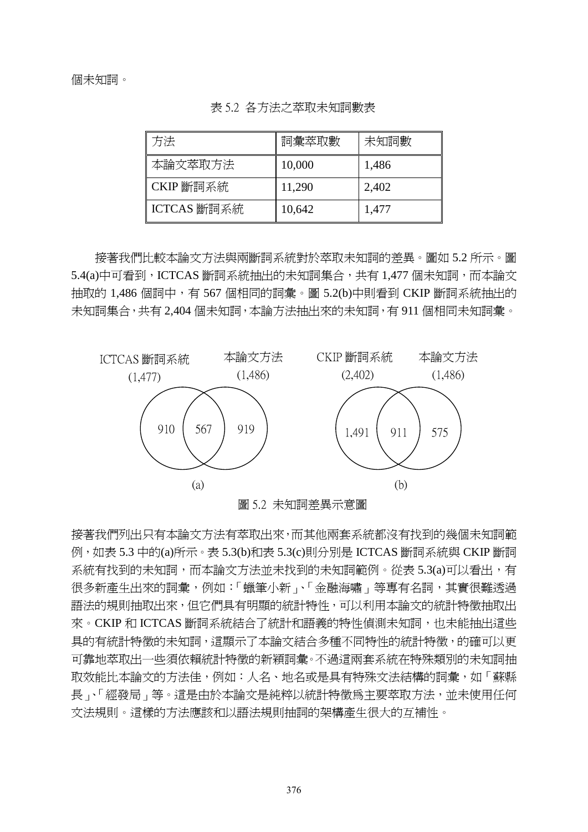| 方法          | 詞彙萃取數  | 未知詞數  |
|-------------|--------|-------|
| 本論文萃取方法     | 10,000 | 1,486 |
| CKIP 斷詞系統   | 11,290 | 2,402 |
| ICTCAS 斷詞系統 | 10,642 | 1,477 |

表 5.2 各方法之萃取未知詞數表

接著我們比較本論文方法與兩斷詞系統對於萃取未知詞的差異。圖如 5.2 所示。圖 5.4(a)中可看到,ICTCAS 斷詞系統抽出的未知詞集合,共有 1,477 個未知詞,而本論文 抽取的 1,486 個詞中,有 567 個相同的詞彙。圖 5.2(b)中則看到 CKIP 斷詞系統抽出的 未知詞集合,共有 2,404 個未知詞,本論方法抽出來的未知詞,有 911 個相同未知詞彙。



圖 5.2 未知詞差異示意圖

接著我們列出只有本論文方法有萃取出來,而其他兩套系統都沒有找到的幾個未知詞範 例,如表 5.3 中的(a)所示。表 5.3(b)和表 5.3(c)則分別是 ICTCAS 斷詞系統與 CKIP 斷詞 系統有找到的未知詞,而本論文方法並未找到的未知詞範例。從表 5.3(a)可以看出,有 很多新產生出來的詞彙,例如:「蠟筆小新」、「金融海嘯」等專有名詞,其實很難透過 語法的規則抽取出來,但它們具有明顯的統計特性,可以利用本論文的統計特徵抽取出 來。CKIP 和 ICTCAS 斷詞系統結合了統計和語義的特性偵測未知詞,也未能抽出這些 具的有統計特徵的未知詞,這顯示了本論文結合多種不同特性的統計特徵,的確可以更 可靠地萃取出一些須依賴統計特徵的新穎詞彙。不過這兩套系統在特殊類別的未知詞抽 取效能比本論文的方法佳,例如:人名、地名或是具有特殊文法結構的詞彙,如「蘇縣 長」、「經發局」等。這是由於本論文是純粹以統計特徵爲主要萃取方法,並未使用任何 文法規則。這樣的方法應該和以語法規則抽詞的架構產生很大的互補性。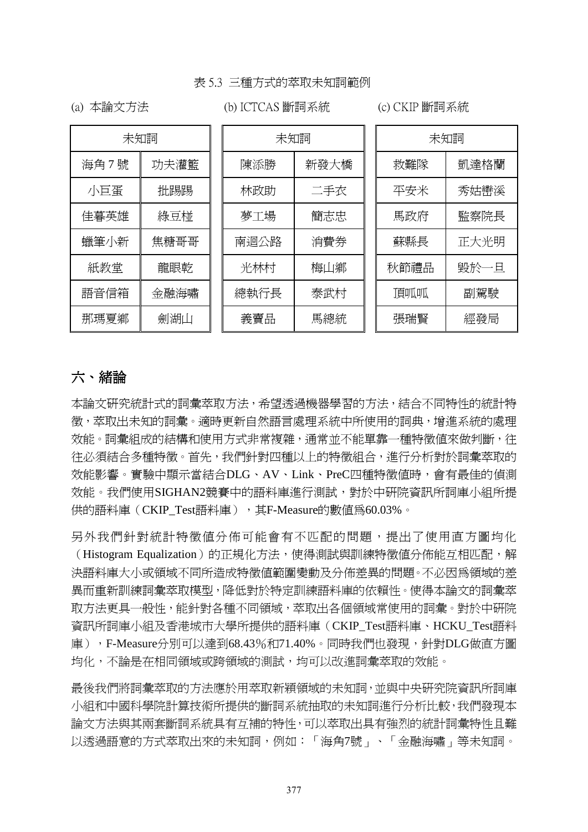#### 表 5.3 三種方式的萃取未知詞範例

(a) 本論文方法

# (b) ICTCAS 斷詞系統 (c) CKIP 斷詞系統

| 未知詞  |      | 未知詞  |      | 未知詞  |      |  |
|------|------|------|------|------|------|--|
| 海角7號 | 功夫灌籃 | 陳添勝  | 新發大橋 | 救難隊  | 凱達格蘭 |  |
| 小巨蛋  | 批踢踢  | 林政助  | 二手衣  | 平安米  | 秀姑巒溪 |  |
| 佳暮英雄 | 綠豆椪  | 夢工場  | 簡志忠  | 馬政府  | 監察院長 |  |
| 蠟筆小新 | 焦糖哥哥 | 南迴公路 | 消費券  | 蘇縣長  | 正大光明 |  |
| 紙教堂  | 龍眼乾  | 光林村  | 梅山鄉  | 秋節禮品 | 毀於一旦 |  |
| 語音信箱 | 金融海嘯 | 總執行長 | 泰武村  | 頂呱呱  | 副駕駛  |  |
| 那瑪夏鄉 | 劍湖山  | 義賣品  | 馬總統  | 張瑞賢  | 經發局  |  |

# 六、緒論

本論文研究統計式的詞彙萃取方法,希望透過機器學習的方法,結合不同特性的統計特 徵,萃取出未知的詞彙。適時更新自然語言處理系統中所使用的詞典,增進系統的處理 效能。詞彙組成的結構和使用方式非常複雜,通常並不能單靠一種特徵值來做判斷,往 往必須結合多種特徵。首先,我們針對四種以上的特徵組合,進行分析對於詞彙萃取的 效能影響。實驗中顯示當結合DLG、AV、Link、PreC四種特徵值時,會有最佳的偵測 效能。我們使用SIGHAN2競賽中的語料庫進行測詴,對於中研院資訊所詞庫小組所提 供的語料庫 (CKIP\_Test語料庫), 其F-Measure的數值為60.03%。

另外我們針對統計特徵值分佈可能會有不匹配的問題,提出了使用直方圖均化 (Histogram Equalization)的正規化方法,使得測試與訓練特徵值分佈能互相匹配,解 決語料庫大小或領域不同所造成特徵值範圍變動及分佈差異的問題。不必因為領域的差 異而重新訓練詞彙萃取模型,降低對於特定訓練語料庫的依賴性。使得本論文的詞彙萃 取方法更具一般性,能針對各種不同領域,萃取出各個領域常使用的詞彙。對於中研院 資訊所詞庫小組及香港城市大學所提供的語料庫(CKIP\_Test語料庫、HCKU\_Test語料 庫), F-Measure分別可以達到68.43%和71.40%。同時我們也發現, 針對DLG做直方圖 均化,不論是在相同領域或跨領域的測詴,均可以改進詞彙萃取的效能。

最後我們將詞彙萃取的方法應於用萃取新穎領域的未知詞,並與中央研究院資訊所詞庫 小組和中國科學院計算技術所提供的斷詞系統抽取的未知詞進行分析比較,我們發現本 論文方法與其兩套斷詞系統具有互補的特性,可以萃取出具有強烈的統計詞彙特性且難 以透過語意的方式萃取出來的未知詞,例如:「海角7號」、「金融海嘯」等未知詞。